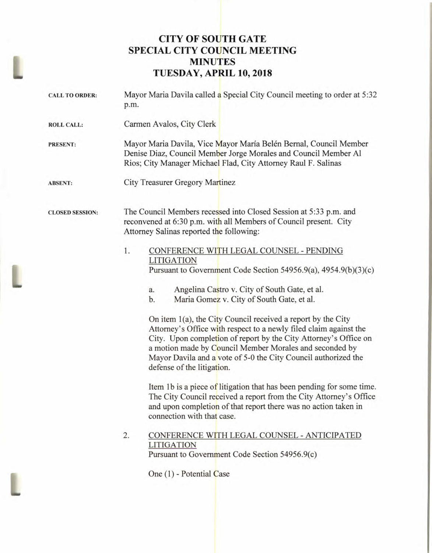## **CITY OF SOUTH GATE SPECIAL CITY COUNCIL MEETING MINUTES TUESDAY, APRIL 10, 2018**

| <b>CALL TO ORDER:</b>  | Mayor Maria Davila called a Special City Council meeting to order at 5:32<br>p.m.                                                                                                                                                                                                                                                                                                                                                                                                                                                                                                                                                                                                                                                                                                                                                                                   |
|------------------------|---------------------------------------------------------------------------------------------------------------------------------------------------------------------------------------------------------------------------------------------------------------------------------------------------------------------------------------------------------------------------------------------------------------------------------------------------------------------------------------------------------------------------------------------------------------------------------------------------------------------------------------------------------------------------------------------------------------------------------------------------------------------------------------------------------------------------------------------------------------------|
| <b>ROLL CALL:</b>      | Carmen Avalos, City Clerk                                                                                                                                                                                                                                                                                                                                                                                                                                                                                                                                                                                                                                                                                                                                                                                                                                           |
| <b>PRESENT:</b>        | Mayor Maria Davila, Vice Mayor María Belén Bernal, Council Member<br>Denise Diaz, Council Member Jorge Morales and Council Member Al<br>Rios; City Manager Michael Flad, City Attorney Raul F. Salinas                                                                                                                                                                                                                                                                                                                                                                                                                                                                                                                                                                                                                                                              |
| <b>ABSENT:</b>         | <b>City Treasurer Gregory Martinez</b>                                                                                                                                                                                                                                                                                                                                                                                                                                                                                                                                                                                                                                                                                                                                                                                                                              |
| <b>CLOSED SESSION:</b> | The Council Members recessed into Closed Session at 5:33 p.m. and<br>reconvened at 6:30 p.m. with all Members of Council present. City<br>Attorney Salinas reported the following:                                                                                                                                                                                                                                                                                                                                                                                                                                                                                                                                                                                                                                                                                  |
|                        | 1.<br>CONFERENCE WITH LEGAL COUNSEL - PENDING<br><b>LITIGATION</b><br>Pursuant to Government Code Section 54956.9(a), 4954.9(b)(3)(c)<br>Angelina Castro v. City of South Gate, et al.<br>a.<br>b.<br>Maria Gomez v. City of South Gate, et al.<br>On item 1(a), the City Council received a report by the City<br>Attorney's Office with respect to a newly filed claim against the<br>City. Upon completion of report by the City Attorney's Office on<br>a motion made by Council Member Morales and seconded by<br>Mayor Davila and a vote of 5-0 the City Council authorized the<br>defense of the litigation.<br>Item 1b is a piece of litigation that has been pending for some time.<br>The City Council received a report from the City Attorney's Office<br>and upon completion of that report there was no action taken in<br>connection with that case. |
|                        | 2.<br>CONFERENCE WITH LEGAL COUNSEL - ANTICIPATED<br><b>LITIGATION</b><br>Pursuant to Government Code Section 54956.9(c)<br>One (1) - Potential Case                                                                                                                                                                                                                                                                                                                                                                                                                                                                                                                                                                                                                                                                                                                |

L

L